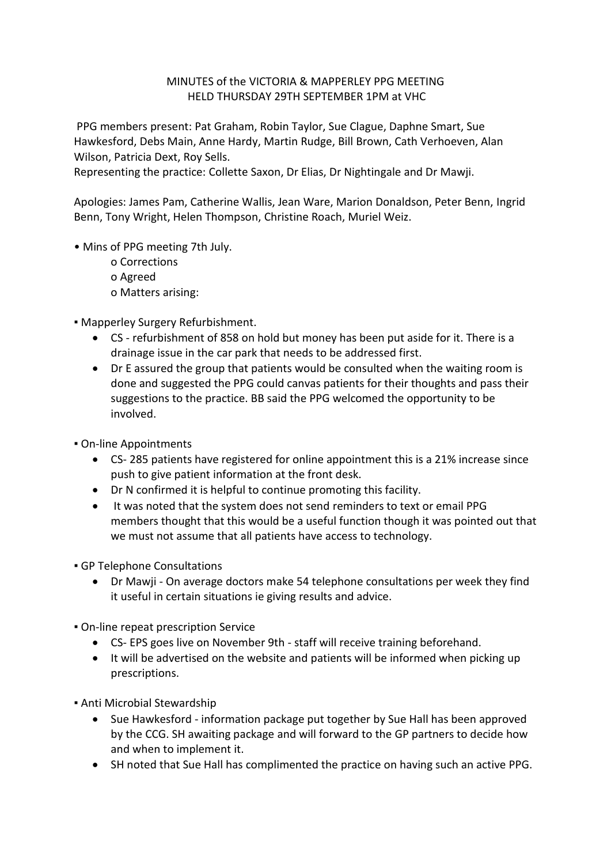## MINUTES of the VICTORIA & MAPPERLEY PPG MEETING HELD THURSDAY 29TH SEPTEMBER 1PM at VHC

PPG members present: Pat Graham, Robin Taylor, Sue Clague, Daphne Smart, Sue Hawkesford, Debs Main, Anne Hardy, Martin Rudge, Bill Brown, Cath Verhoeven, Alan Wilson, Patricia Dext, Roy Sells.

Representing the practice: Collette Saxon, Dr Elias, Dr Nightingale and Dr Mawji.

Apologies: James Pam, Catherine Wallis, Jean Ware, Marion Donaldson, Peter Benn, Ingrid Benn, Tony Wright, Helen Thompson, Christine Roach, Muriel Weiz.

- Mins of PPG meeting 7th July.
	- o Corrections o Agreed o Matters arising:

▪ Mapperley Surgery Refurbishment.

- CS refurbishment of 858 on hold but money has been put aside for it. There is a drainage issue in the car park that needs to be addressed first.
- Dr E assured the group that patients would be consulted when the waiting room is done and suggested the PPG could canvas patients for their thoughts and pass their suggestions to the practice. BB said the PPG welcomed the opportunity to be involved.

▪ On-line Appointments

- CS- 285 patients have registered for online appointment this is a 21% increase since push to give patient information at the front desk.
- Dr N confirmed it is helpful to continue promoting this facility.
- It was noted that the system does not send reminders to text or email PPG members thought that this would be a useful function though it was pointed out that we must not assume that all patients have access to technology.
- **GP Telephone Consultations** 
	- Dr Mawji On average doctors make 54 telephone consultations per week they find it useful in certain situations ie giving results and advice.

**• On-line repeat prescription Service** 

- CS- EPS goes live on November 9th staff will receive training beforehand.
- It will be advertised on the website and patients will be informed when picking up prescriptions.

▪ Anti Microbial Stewardship

- Sue Hawkesford information package put together by Sue Hall has been approved by the CCG. SH awaiting package and will forward to the GP partners to decide how and when to implement it.
- SH noted that Sue Hall has complimented the practice on having such an active PPG.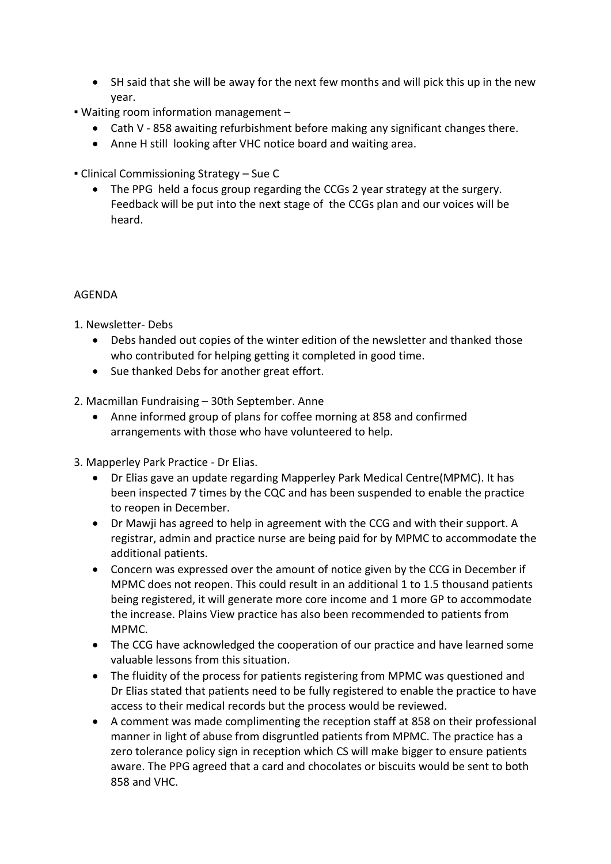- SH said that she will be away for the next few months and will pick this up in the new year.
- Waiting room information management
	- Cath V 858 awaiting refurbishment before making any significant changes there.
	- Anne H still looking after VHC notice board and waiting area.
- Clinical Commissioning Strategy Sue C
	- The PPG held a focus group regarding the CCGs 2 year strategy at the surgery. Feedback will be put into the next stage of the CCGs plan and our voices will be heard.

## AGENDA

1. Newsletter- Debs

- Debs handed out copies of the winter edition of the newsletter and thanked those who contributed for helping getting it completed in good time.
- Sue thanked Debs for another great effort.
- 2. Macmillan Fundraising 30th September. Anne
	- Anne informed group of plans for coffee morning at 858 and confirmed arrangements with those who have volunteered to help.
- 3. Mapperley Park Practice Dr Elias.
	- Dr Elias gave an update regarding Mapperley Park Medical Centre(MPMC). It has been inspected 7 times by the CQC and has been suspended to enable the practice to reopen in December.
	- Dr Mawji has agreed to help in agreement with the CCG and with their support. A registrar, admin and practice nurse are being paid for by MPMC to accommodate the additional patients.
	- Concern was expressed over the amount of notice given by the CCG in December if MPMC does not reopen. This could result in an additional 1 to 1.5 thousand patients being registered, it will generate more core income and 1 more GP to accommodate the increase. Plains View practice has also been recommended to patients from MPMC.
	- The CCG have acknowledged the cooperation of our practice and have learned some valuable lessons from this situation.
	- The fluidity of the process for patients registering from MPMC was questioned and Dr Elias stated that patients need to be fully registered to enable the practice to have access to their medical records but the process would be reviewed.
	- A comment was made complimenting the reception staff at 858 on their professional manner in light of abuse from disgruntled patients from MPMC. The practice has a zero tolerance policy sign in reception which CS will make bigger to ensure patients aware. The PPG agreed that a card and chocolates or biscuits would be sent to both 858 and VHC.